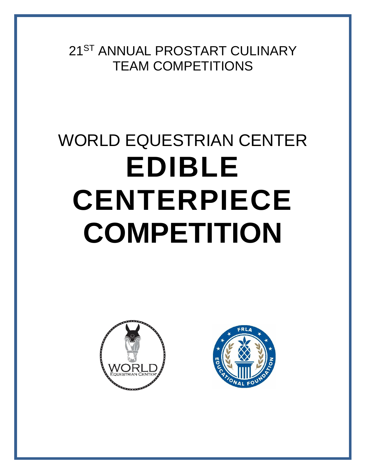21ST ANNUAL PROSTART CULINARY TEAM COMPETITIONS

# WORLD EQUESTRIAN CENTER **EDIBLE CENTERPIECE COMPETITION**



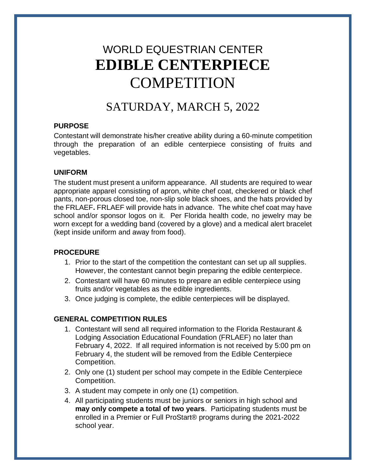# WORLD EQUESTRIAN CENTER **EDIBLE CENTERPIECE COMPETITION**

## SATURDAY, MARCH 5, 2022

#### **PURPOSE**

Contestant will demonstrate his/her creative ability during a 60-minute competition through the preparation of an edible centerpiece consisting of fruits and vegetables.

#### **UNIFORM**

The student must present a uniform appearance. All students are required to wear appropriate apparel consisting of apron, white chef coat, checkered or black chef pants, non-porous closed toe, non-slip sole black shoes, and the hats provided by the FRLAEF**.** FRLAEF will provide hats in advance. The white chef coat may have school and/or sponsor logos on it. Per Florida health code, no jewelry may be worn except for a wedding band (covered by a glove) and a medical alert bracelet (kept inside uniform and away from food).

#### **PROCEDURE**

- 1. Prior to the start of the competition the contestant can set up all supplies. However, the contestant cannot begin preparing the edible centerpiece.
- 2. Contestant will have 60 minutes to prepare an edible centerpiece using fruits and/or vegetables as the edible ingredients.
- 3. Once judging is complete, the edible centerpieces will be displayed.

#### **GENERAL COMPETITION RULES**

- 1. Contestant will send all required information to the Florida Restaurant & Lodging Association Educational Foundation (FRLAEF) no later than February 4, 2022. If all required information is not received by 5:00 pm on February 4, the student will be removed from the Edible Centerpiece Competition.
- 2. Only one (1) student per school may compete in the Edible Centerpiece Competition.
- 3. A student may compete in only one (1) competition.
- 4. All participating students must be juniors or seniors in high school and **may only compete a total of two years**. Participating students must be enrolled in a Premier or Full ProStart® programs during the 2021-2022 school year.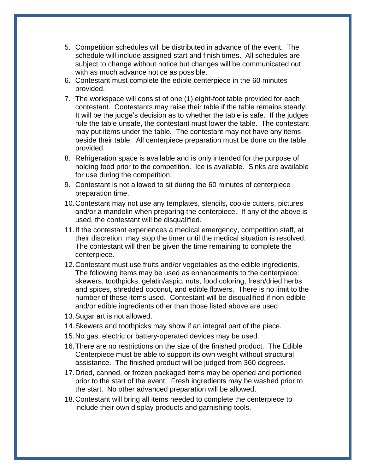- 5. Competition schedules will be distributed in advance of the event. The schedule will include assigned start and finish times. All schedules are subject to change without notice but changes will be communicated out with as much advance notice as possible.
- 6. Contestant must complete the edible centerpiece in the 60 minutes provided.
- 7. The workspace will consist of one (1) eight-foot table provided for each contestant. Contestants may raise their table if the table remains steady. It will be the judge's decision as to whether the table is safe. If the judges rule the table unsafe, the contestant must lower the table. The contestant may put items under the table. The contestant may not have any items beside their table.All centerpiece preparation must be done on the table provided.
- 8. Refrigeration space is available and is only intended for the purpose of holding food prior to the competition. Ice is available. Sinks are available for use during the competition.
- 9. Contestant is not allowed to sit during the 60 minutes of centerpiece preparation time.
- 10.Contestant may not use any templates, stencils, cookie cutters, pictures and/or a mandolin when preparing the centerpiece. If any of the above is used, the contestant will be disqualified.
- 11.If the contestant experiences a medical emergency, competition staff, at their discretion, may stop the timer until the medical situation is resolved. The contestant will then be given the time remaining to complete the centerpiece.
- 12.Contestant must use fruits and/or vegetables as the edible ingredients. The following items may be used as enhancements to the centerpiece: skewers, toothpicks, gelatin/aspic, nuts, food coloring, fresh/dried herbs and spices, shredded coconut, and edible flowers. There is no limit to the number of these items used. Contestant will be disqualified if non-edible and/or edible ingredients other than those listed above are used.
- 13.Sugar art is not allowed.
- 14.Skewers and toothpicks may show if an integral part of the piece.
- 15.No gas, electric or battery-operated devices may be used.
- 16.There are no restrictions on the size of the finished product. The Edible Centerpiece must be able to support its own weight without structural assistance. The finished product will be judged from 360 degrees.
- 17.Dried, canned, or frozen packaged items may be opened and portioned prior to the start of the event. Fresh ingredients may be washed prior to the start. No other advanced preparation will be allowed.
- 18.Contestant will bring all items needed to complete the centerpiece to include their own display products and garnishing tools.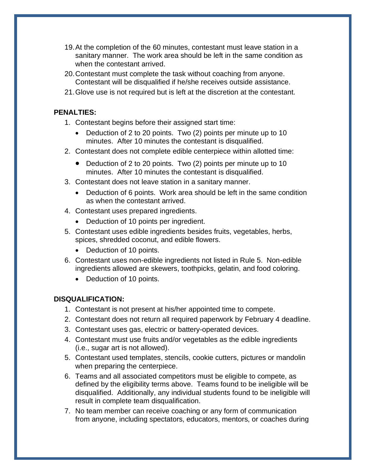- 19.At the completion of the 60 minutes, contestant must leave station in a sanitary manner. The work area should be left in the same condition as when the contestant arrived.
- 20.Contestant must complete the task without coaching from anyone. Contestant will be disqualified if he/she receives outside assistance.
- 21.Glove use is not required but is left at the discretion at the contestant.

#### **PENALTIES:**

- 1. Contestant begins before their assigned start time:
	- Deduction of 2 to 20 points. Two (2) points per minute up to 10 minutes. After 10 minutes the contestant is disqualified.
- 2. Contestant does not complete edible centerpiece within allotted time:
	- Deduction of 2 to 20 points. Two (2) points per minute up to 10 minutes. After 10 minutes the contestant is disqualified.
- 3. Contestant does not leave station in a sanitary manner.
	- Deduction of 6 points. Work area should be left in the same condition as when the contestant arrived.
- 4. Contestant uses prepared ingredients.
	- Deduction of 10 points per ingredient.
- 5. Contestant uses edible ingredients besides fruits, vegetables, herbs, spices, shredded coconut, and edible flowers.
	- Deduction of 10 points.
- 6. Contestant uses non-edible ingredients not listed in Rule 5. Non-edible ingredients allowed are skewers, toothpicks, gelatin, and food coloring.
	- Deduction of 10 points.

#### **DISQUALIFICATION:**

- 1. Contestant is not present at his/her appointed time to compete.
- 2. Contestant does not return all required paperwork by February 4 deadline.
- 3. Contestant uses gas, electric or battery-operated devices.
- 4. Contestant must use fruits and/or vegetables as the edible ingredients (i.e., sugar art is not allowed).
- 5. Contestant used templates, stencils, cookie cutters, pictures or mandolin when preparing the centerpiece.
- 6. Teams and all associated competitors must be eligible to compete, as defined by the eligibility terms above. Teams found to be ineligible will be disqualified. Additionally, any individual students found to be ineligible will result in complete team disqualification.
- 7. No team member can receive coaching or any form of communication from anyone, including spectators, educators, mentors, or coaches during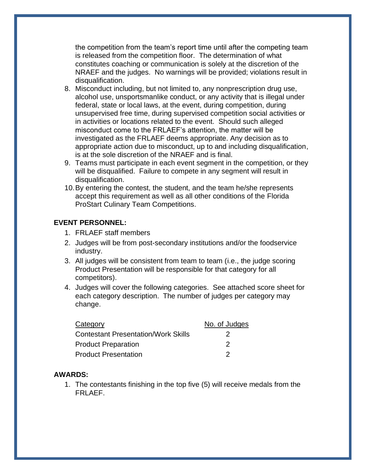the competition from the team's report time until after the competing team is released from the competition floor. The determination of what constitutes coaching or communication is solely at the discretion of the NRAEF and the judges. No warnings will be provided; violations result in disqualification.

- 8. Misconduct including, but not limited to, any nonprescription drug use, alcohol use, unsportsmanlike conduct, or any activity that is illegal under federal, state or local laws, at the event, during competition, during unsupervised free time, during supervised competition social activities or in activities or locations related to the event. Should such alleged misconduct come to the FRLAEF's attention, the matter will be investigated as the FRLAEF deems appropriate. Any decision as to appropriate action due to misconduct, up to and including disqualification, is at the sole discretion of the NRAEF and is final.
- 9. Teams must participate in each event segment in the competition, or they will be disqualified. Failure to compete in any segment will result in disqualification.
- 10.By entering the contest, the student, and the team he/she represents accept this requirement as well as all other conditions of the Florida ProStart Culinary Team Competitions.

#### **EVENT PERSONNEL:**

- 1. FRLAEF staff members
- 2. Judges will be from post-secondary institutions and/or the foodservice industry.
- 3. All judges will be consistent from team to team (i.e., the judge scoring Product Presentation will be responsible for that category for all competitors).
- 4. Judges will cover the following categories. See attached score sheet for each category description. The number of judges per category may change.

| Category                                   | No. of Judges |
|--------------------------------------------|---------------|
| <b>Contestant Presentation/Work Skills</b> |               |
| <b>Product Preparation</b>                 |               |
| <b>Product Presentation</b>                |               |

#### **AWARDS:**

1. The contestants finishing in the top five (5) will receive medals from the FRLAEF.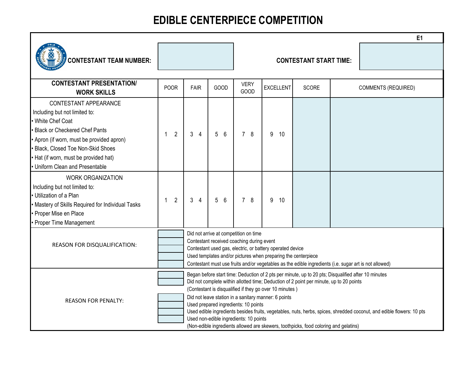## **EDIBLE CENTERPIECE COMPETITION**

|                                                                                                                                                                                                                                                                                                                        |                                                                                                                                                                                                                                                                                                                                                                                                                                                                                                                                                                                                                      |                |         |                     |                  |                               |  | E1                         |
|------------------------------------------------------------------------------------------------------------------------------------------------------------------------------------------------------------------------------------------------------------------------------------------------------------------------|----------------------------------------------------------------------------------------------------------------------------------------------------------------------------------------------------------------------------------------------------------------------------------------------------------------------------------------------------------------------------------------------------------------------------------------------------------------------------------------------------------------------------------------------------------------------------------------------------------------------|----------------|---------|---------------------|------------------|-------------------------------|--|----------------------------|
| <b>CONTESTANT TEAM NUMBER:</b>                                                                                                                                                                                                                                                                                         |                                                                                                                                                                                                                                                                                                                                                                                                                                                                                                                                                                                                                      |                |         |                     |                  | <b>CONTESTANT START TIME:</b> |  |                            |
| <b>CONTESTANT PRESENTATION/</b><br><b>WORK SKILLS</b>                                                                                                                                                                                                                                                                  | <b>POOR</b>                                                                                                                                                                                                                                                                                                                                                                                                                                                                                                                                                                                                          | FAIR           | GOOD    | <b>VERY</b><br>GOOD | <b>EXCELLENT</b> | <b>SCORE</b>                  |  | <b>COMMENTS (REQUIRED)</b> |
| <b>CONTESTANT APPEARANCE</b><br>Including but not limited to:<br>White Chef Coat<br><b>Black or Checkered Chef Pants</b><br>Apron (if worn, must be provided apron)<br><b>Black, Closed Toe Non-Skid Shoes</b><br>• Hat (if worn, must be provided hat)<br>• Uniform Clean and Presentable<br><b>WORK ORGANIZATION</b> | $\overline{2}$                                                                                                                                                                                                                                                                                                                                                                                                                                                                                                                                                                                                       | 3 <sub>4</sub> | 5<br>-6 | 78                  | 9<br>10          |                               |  |                            |
| Including but not limited to:<br>· Utilization of a Plan<br>Mastery of Skills Required for Individual Tasks<br>• Proper Mise en Place<br>• Proper Time Management                                                                                                                                                      | $\overline{2}$<br>1                                                                                                                                                                                                                                                                                                                                                                                                                                                                                                                                                                                                  | 3 <sub>4</sub> | 5<br>-6 | 78                  | 9<br>10          |                               |  |                            |
| <b>REASON FOR DISQUALIFICATION:</b>                                                                                                                                                                                                                                                                                    | Did not arrive at competition on time<br>Contestant received coaching during event<br>Contestant used gas, electric, or battery operated device<br>Used templates and/or pictures when preparing the centerpiece<br>Contestant must use fruits and/or vegetables as the edible ingredients (i.e. sugar art is not allowed)                                                                                                                                                                                                                                                                                           |                |         |                     |                  |                               |  |                            |
| <b>REASON FOR PENALTY:</b>                                                                                                                                                                                                                                                                                             | Began before start time: Deduction of 2 pts per minute, up to 20 pts; Disqualified after 10 minutes<br>Did not complete within allotted time; Deduction of 2 point per minute, up to 20 points<br>(Contestant is disqualified if they go over 10 minutes)<br>Did not leave station in a sanitary manner: 6 points<br>Used prepared ingredients: 10 points<br>Used edible ingredients besides fruits, vegetables, nuts, herbs, spices, shredded coconut, and edible flowers: 10 pts<br>Used non-edible ingredients: 10 points<br>(Non-edible ingredients allowed are skewers, toothpicks, food coloring and gelatins) |                |         |                     |                  |                               |  |                            |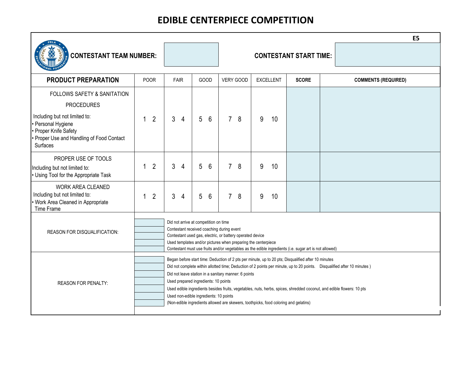## **EDIBLE CENTERPIECE COMPETITION**

|                                                                                                                                                            |                                                                                                                                                                                                                                                                                                                            |                                                                                                                                                                                                                                                                                                                                                                                                                                                                                                                                                                                              |                |   |      |                |           |   |                  |                               |  | E <sub>5</sub>             |
|------------------------------------------------------------------------------------------------------------------------------------------------------------|----------------------------------------------------------------------------------------------------------------------------------------------------------------------------------------------------------------------------------------------------------------------------------------------------------------------------|----------------------------------------------------------------------------------------------------------------------------------------------------------------------------------------------------------------------------------------------------------------------------------------------------------------------------------------------------------------------------------------------------------------------------------------------------------------------------------------------------------------------------------------------------------------------------------------------|----------------|---|------|----------------|-----------|---|------------------|-------------------------------|--|----------------------------|
| <b>CONTESTANT TEAM NUMBER:</b>                                                                                                                             |                                                                                                                                                                                                                                                                                                                            |                                                                                                                                                                                                                                                                                                                                                                                                                                                                                                                                                                                              |                |   |      |                |           |   |                  | <b>CONTESTANT START TIME:</b> |  |                            |
| <b>PRODUCT PREPARATION</b>                                                                                                                                 | <b>POOR</b>                                                                                                                                                                                                                                                                                                                |                                                                                                                                                                                                                                                                                                                                                                                                                                                                                                                                                                                              | <b>FAIR</b>    |   | GOOD |                | VERY GOOD |   | <b>EXCELLENT</b> | <b>SCORE</b>                  |  | <b>COMMENTS (REQUIRED)</b> |
| FOLLOWS SAFETY & SANITATION                                                                                                                                |                                                                                                                                                                                                                                                                                                                            |                                                                                                                                                                                                                                                                                                                                                                                                                                                                                                                                                                                              |                |   |      |                |           |   |                  |                               |  |                            |
| <b>PROCEDURES</b><br>Including but not limited to:<br>• Personal Hygiene<br>• Proper Knife Safety<br>• Proper Use and Handling of Food Contact<br>Surfaces | $\overline{2}$<br>1                                                                                                                                                                                                                                                                                                        | 3                                                                                                                                                                                                                                                                                                                                                                                                                                                                                                                                                                                            | $\overline{4}$ | 5 | 6    | $\overline{7}$ | 8         | 9 | 10               |                               |  |                            |
| PROPER USE OF TOOLS<br>Including but not limited to:<br>• Using Tool for the Appropriate Task                                                              | $\overline{2}$<br>1                                                                                                                                                                                                                                                                                                        | 3                                                                                                                                                                                                                                                                                                                                                                                                                                                                                                                                                                                            | 4              | 5 | 6    | $\overline{7}$ | 8         | 9 | 10               |                               |  |                            |
| <b>WORK AREA CLEANED</b><br>Including but not limited to:<br>• Work Area Cleaned in Appropriate<br>Time Frame                                              | $\overline{2}$<br>1                                                                                                                                                                                                                                                                                                        | 3                                                                                                                                                                                                                                                                                                                                                                                                                                                                                                                                                                                            | $\overline{4}$ | 5 | 6    | 7 <sup>1</sup> | 8         | 9 | 10               |                               |  |                            |
| REASON FOR DISQUALIFICATION:                                                                                                                               | Did not arrive at competition on time<br>Contestant received coaching during event<br>Contestant used gas, electric, or battery operated device<br>Used templates and/or pictures when preparing the centerpiece<br>Contestant must use fruits and/or vegetables as the edible ingredients (i.e. sugar art is not allowed) |                                                                                                                                                                                                                                                                                                                                                                                                                                                                                                                                                                                              |                |   |      |                |           |   |                  |                               |  |                            |
| <b>REASON FOR PENALTY:</b>                                                                                                                                 |                                                                                                                                                                                                                                                                                                                            | Began before start time: Deduction of 2 pts per minute, up to 20 pts; Disqualified after 10 minutes<br>Did not complete within allotted time; Deduction of 2 points per minute, up to 20 points.  Disqualified after 10 minutes )<br>Did not leave station in a sanitary manner: 6 points<br>Used prepared ingredients: 10 points<br>Used edible ingredients besides fruits, vegetables, nuts, herbs, spices, shredded coconut, and edible flowers: 10 pts<br>Used non-edible ingredients: 10 points<br>(Non-edible ingredients allowed are skewers, toothpicks, food coloring and gelatins) |                |   |      |                |           |   |                  |                               |  |                            |